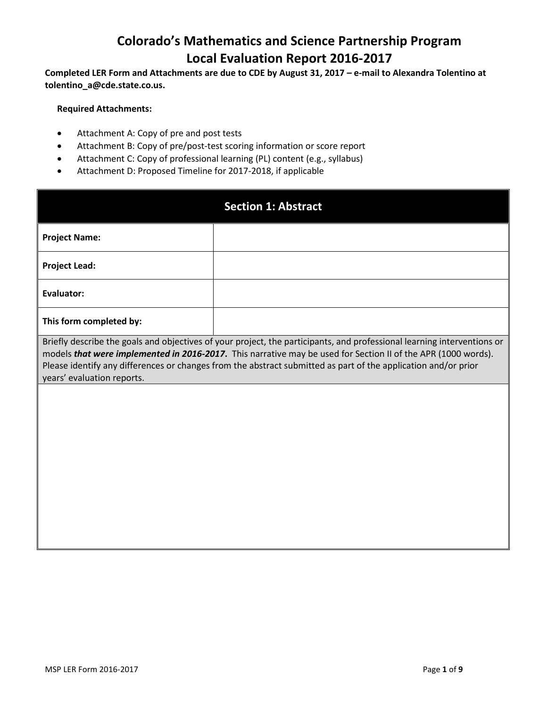# **Colorado's Mathematics and Science Partnership Program Local Evaluation Report 2016-2017**

**Completed LER Form and Attachments are due to CDE by August 31, 2017 – e-mail to Alexandra Tolentino at tolentino\_a@cde.state.co.us.**

### **Required Attachments:**

- Attachment A: Copy of pre and post tests
- Attachment B: Copy of pre/post-test scoring information or score report
- Attachment C: Copy of professional learning (PL) content (e.g., syllabus)
- Attachment D: Proposed Timeline for 2017-2018, if applicable

|                            | <b>Section 1: Abstract</b>                                                                                                                                                                                                                                                                                                                                 |
|----------------------------|------------------------------------------------------------------------------------------------------------------------------------------------------------------------------------------------------------------------------------------------------------------------------------------------------------------------------------------------------------|
| <b>Project Name:</b>       |                                                                                                                                                                                                                                                                                                                                                            |
| <b>Project Lead:</b>       |                                                                                                                                                                                                                                                                                                                                                            |
| <b>Evaluator:</b>          |                                                                                                                                                                                                                                                                                                                                                            |
| This form completed by:    |                                                                                                                                                                                                                                                                                                                                                            |
| years' evaluation reports. | Briefly describe the goals and objectives of your project, the participants, and professional learning interventions or<br>models that were implemented in 2016-2017. This narrative may be used for Section II of the APR (1000 words).<br>Please identify any differences or changes from the abstract submitted as part of the application and/or prior |
|                            |                                                                                                                                                                                                                                                                                                                                                            |
|                            |                                                                                                                                                                                                                                                                                                                                                            |
|                            |                                                                                                                                                                                                                                                                                                                                                            |
|                            |                                                                                                                                                                                                                                                                                                                                                            |
|                            |                                                                                                                                                                                                                                                                                                                                                            |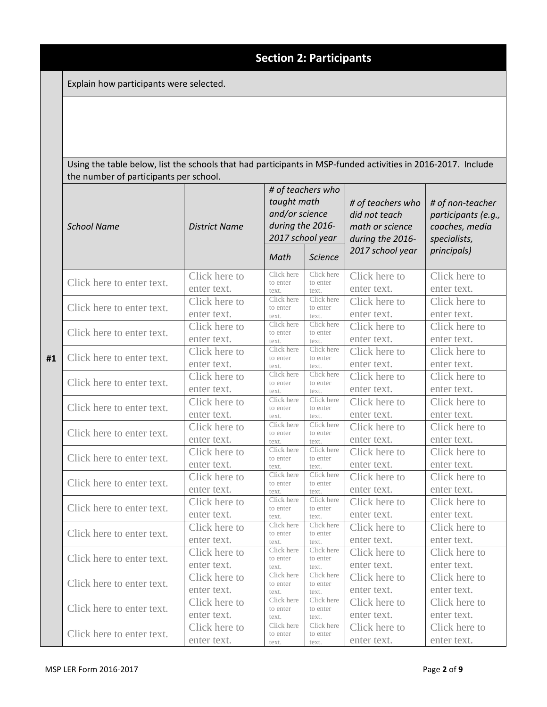Explain how participants were selected.

Using the table below, list the schools that had participants in MSP-funded activities in 2016-2017. Include the number of participants per school.

|    | <b>School Name</b>                                        | <b>District Name</b>         | # of teachers who<br>taught math<br>and/or science<br>during the 2016-<br>2017 school year |                                          | # of teachers who<br>did not teach<br>math or science<br>during the 2016- | # of non-teacher<br>participants (e.g.,<br>coaches, media<br>specialists, |
|----|-----------------------------------------------------------|------------------------------|--------------------------------------------------------------------------------------------|------------------------------------------|---------------------------------------------------------------------------|---------------------------------------------------------------------------|
|    |                                                           | Math                         |                                                                                            | <b>Science</b>                           | 2017 school year                                                          | principals)                                                               |
|    | Click here to enter text.                                 | Click here to<br>enter text. | Click here<br>to enter                                                                     | Click here<br>to enter                   | Click here to<br>enter text.                                              | Click here to<br>enter text.                                              |
|    | Click here to enter text.                                 | Click here to<br>enter text. | text.<br>Click here<br>to enter                                                            | text.<br>Click here<br>to enter          | Click here to<br>enter text.                                              | Click here to<br>enter text.                                              |
|    | Click here to enter text.                                 | Click here to<br>enter text. | text.<br>Click here<br>to enter<br>text.                                                   | text.<br>Click here<br>to enter<br>text. | Click here to<br>enter text.                                              | Click here to<br>enter text.                                              |
| #1 | Click here to enter text.                                 | Click here to<br>enter text. | Click here<br>to enter<br>text.                                                            | Click here<br>to enter<br>text.          | Click here to<br>enter text.                                              | Click here to<br>enter text.                                              |
|    | Click here to enter text.                                 | Click here to<br>enter text. | Click here<br>to enter<br>text.                                                            | Click here<br>to enter<br>text.          | Click here to<br>enter text.                                              | Click here to<br>enter text.                                              |
|    | Click here to enter text.                                 | Click here to<br>enter text. | Click here<br>to enter<br>text.                                                            | Click here<br>to enter<br>text.          | Click here to<br>enter text.                                              | Click here to<br>enter text.                                              |
|    | Click here to enter text.                                 | Click here to<br>enter text. | Click here<br>to enter<br>text.                                                            | Click here<br>to enter<br>text.          | Click here to<br>enter text.                                              | Click here to<br>enter text.                                              |
|    | Click here to enter text.                                 | Click here to<br>enter text. | Click here<br>to enter<br>text.                                                            | Click here<br>to enter<br>text.          | Click here to<br>enter text.                                              | Click here to<br>enter text.                                              |
|    | Click here to enter text.                                 | Click here to<br>enter text. | Click here<br>to enter<br>text.                                                            | Click here<br>to enter<br>text.          | Click here to<br>enter text.                                              | Click here to<br>enter text.                                              |
|    | Click here to enter text.                                 | Click here to<br>enter text. | Click here<br>to enter<br>text.                                                            | Click here<br>to enter<br>text.          | Click here to<br>enter text.                                              | Click here to<br>enter text.                                              |
|    | Click here to enter text.                                 | Click here to<br>enter text. | Click here<br>to enter<br>text.                                                            | Click here<br>to enter<br>text.          | Click here to<br>enter text.                                              | Click here to<br>enter text.                                              |
|    | Click here to<br>Click here to enter text.<br>enter text. |                              | Click here<br>to enter<br>text.                                                            | Click here<br>to enter<br>text.          | Click here to<br>enter text.                                              | Click here to<br>enter text.                                              |
|    | Click here to enter text.                                 | Click here to<br>enter text. | Click here<br>to enter<br>text.                                                            | Click here<br>to enter<br>text.          | Click here to<br>enter text.                                              | Click here to<br>enter text.                                              |
|    | Click here to enter text.                                 | Click here to<br>enter text. | Click here<br>to enter<br>text.                                                            | Click here<br>to enter<br>text.          | Click here to<br>enter text.                                              | Click here to<br>enter text.                                              |
|    | Click here to enter text.                                 | Click here to<br>enter text. | Click here<br>to enter<br>text.                                                            | Click here<br>to enter<br>text.          | Click here to<br>enter text.                                              | Click here to<br>enter text.                                              |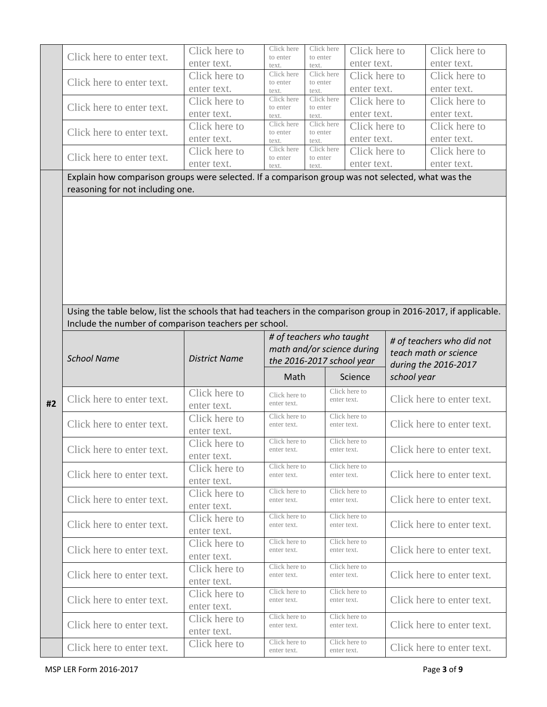|    | Click here to enter text.                                                                                                             | Click here to                               | Click here<br>to enter                                                              | Click here        | Click here to<br>to enter<br>enter text. |                                                                            | Click here to             |
|----|---------------------------------------------------------------------------------------------------------------------------------------|---------------------------------------------|-------------------------------------------------------------------------------------|-------------------|------------------------------------------|----------------------------------------------------------------------------|---------------------------|
|    |                                                                                                                                       | enter text.                                 | text.                                                                               | text.             |                                          |                                                                            | enter text.               |
|    | Click here to enter text.                                                                                                             | Click here to                               | Click here<br>to enter                                                              | Click here        | Click here to                            |                                                                            | Click here to             |
|    |                                                                                                                                       | enter text.                                 | text.                                                                               | to enter<br>text. | enter text.                              |                                                                            | enter text.               |
|    | Click here to enter text.                                                                                                             | Click here to                               | Click here                                                                          | Click here        | Click here to                            |                                                                            | Click here to             |
|    |                                                                                                                                       | enter text.                                 | to enter<br>text.                                                                   | to enter<br>text. | enter text.                              |                                                                            | enter text.               |
|    |                                                                                                                                       | Click here to                               | Click here                                                                          | Click here        | Click here to                            |                                                                            | Click here to             |
|    | Click here to enter text.                                                                                                             | enter text.                                 | to enter<br>text.                                                                   | to enter<br>text. | enter text.                              |                                                                            | enter text.               |
|    |                                                                                                                                       | Click here to                               | Click here                                                                          | Click here        | Click here to                            |                                                                            | Click here to             |
|    | Click here to enter text.                                                                                                             | enter text.                                 | to enter<br>text.                                                                   | to enter<br>text. | enter text.                              |                                                                            | enter text.               |
|    | Explain how comparison groups were selected. If a comparison group was not selected, what was the<br>reasoning for not including one. |                                             |                                                                                     |                   |                                          |                                                                            |                           |
|    | Using the table below, list the schools that had teachers in the comparison group in 2016-2017, if applicable.                        |                                             |                                                                                     |                   |                                          |                                                                            |                           |
|    | Include the number of comparison teachers per school.                                                                                 |                                             |                                                                                     |                   |                                          |                                                                            |                           |
|    |                                                                                                                                       |                                             | # of teachers who taught<br>math and/or science during<br>the 2016-2017 school year |                   |                                          | # of teachers who did not<br>teach math or science<br>during the 2016-2017 |                           |
|    | <b>School Name</b>                                                                                                                    | <b>District Name</b>                        |                                                                                     |                   |                                          |                                                                            |                           |
|    |                                                                                                                                       |                                             | Math                                                                                |                   | Science                                  | school year                                                                |                           |
| #2 | Click here to enter text.                                                                                                             | Click here to                               | Click here to<br>enter text.                                                        |                   | Click here to<br>enter text.             |                                                                            | Click here to enter text. |
|    | Click here to enter text.                                                                                                             | enter text.<br>Click here to                | Click here to<br>enter text.                                                        |                   | Click here to<br>enter text.             |                                                                            | Click here to enter text. |
|    | Click here to enter text.                                                                                                             | enter text.<br>Click here to<br>enter text. | Click here to<br>enter text.                                                        |                   | Click here to<br>enter text.             |                                                                            | Click here to enter text. |
|    | Click here to enter text.                                                                                                             | Click here to<br>enter text.                | Click here to<br>enter text.                                                        |                   | Click here to<br>enter text.             |                                                                            | Click here to enter text. |
|    | Click here to enter text.                                                                                                             | Click here to<br>enter text.                | Click here to<br>enter text.                                                        |                   | Click here to<br>enter text.             |                                                                            | Click here to enter text. |
|    | Click here to enter text.                                                                                                             | Click here to<br>enter text.                | Click here to<br>enter text.                                                        |                   | Click here to<br>enter text.             |                                                                            | Click here to enter text. |
|    | Click here to enter text.                                                                                                             | Click here to<br>enter text.                | Click here to<br>enter text.                                                        |                   | Click here to<br>enter text.             |                                                                            | Click here to enter text. |
|    | Click here to enter text.                                                                                                             | Click here to<br>enter text.                | Click here to<br>enter text.                                                        |                   | Click here to<br>enter text.             |                                                                            | Click here to enter text. |
|    | Click here to enter text.                                                                                                             | Click here to<br>enter text.                | Click here to<br>enter text.                                                        |                   | Click here to<br>enter text.             |                                                                            | Click here to enter text. |
|    | Click here to enter text.                                                                                                             | Click here to<br>enter text.                | Click here to<br>enter text.                                                        |                   | Click here to<br>enter text.             |                                                                            | Click here to enter text. |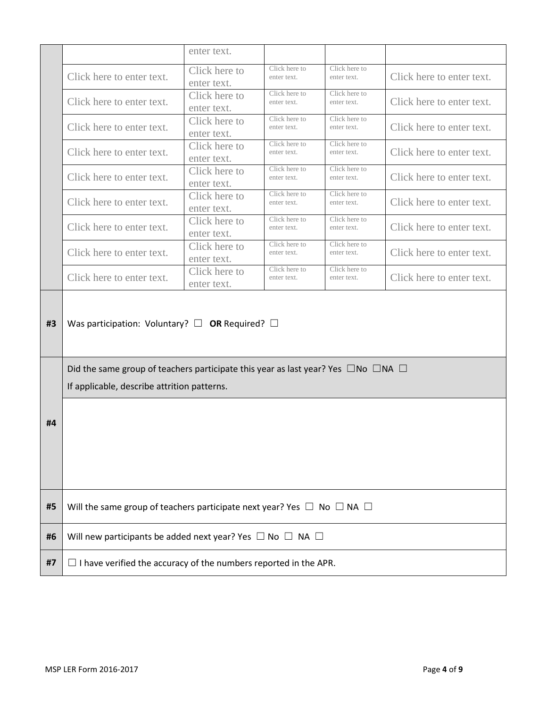|    |                                                                                                                                                  | enter text.                  |                              |                              |                           |  |  |
|----|--------------------------------------------------------------------------------------------------------------------------------------------------|------------------------------|------------------------------|------------------------------|---------------------------|--|--|
|    | Click here to enter text.                                                                                                                        | Click here to<br>enter text. | Click here to<br>enter text. | Click here to<br>enter text. | Click here to enter text. |  |  |
|    | Click here to enter text.                                                                                                                        | Click here to<br>enter text. | Click here to<br>enter text. | Click here to<br>enter text. | Click here to enter text. |  |  |
|    | Click here to enter text.                                                                                                                        | Click here to<br>enter text. | Click here to<br>enter text. | Click here to<br>enter text. | Click here to enter text. |  |  |
|    | Click here to enter text.                                                                                                                        | Click here to<br>enter text. | Click here to<br>enter text. | Click here to<br>enter text. | Click here to enter text. |  |  |
|    | Click here to enter text.                                                                                                                        | Click here to<br>enter text. | Click here to<br>enter text. | Click here to<br>enter text. | Click here to enter text. |  |  |
|    | Click here to enter text.                                                                                                                        | Click here to<br>enter text. | Click here to<br>enter text. | Click here to<br>enter text. | Click here to enter text. |  |  |
|    | Click here to enter text.                                                                                                                        | Click here to<br>enter text. | Click here to<br>enter text. | Click here to<br>enter text. | Click here to enter text. |  |  |
|    | Click here to enter text.                                                                                                                        | Click here to<br>enter text. | Click here to<br>enter text. | Click here to<br>enter text. | Click here to enter text. |  |  |
|    | Click here to enter text.                                                                                                                        | Click here to<br>enter text. | Click here to<br>enter text. | Click here to<br>enter text. | Click here to enter text. |  |  |
| #3 | Was participation: Voluntary? $\Box$ OR Required? $\Box$                                                                                         |                              |                              |                              |                           |  |  |
|    | Did the same group of teachers participate this year as last year? Yes $\Box$ No $\Box$ NA $\Box$<br>If applicable, describe attrition patterns. |                              |                              |                              |                           |  |  |
| #4 |                                                                                                                                                  |                              |                              |                              |                           |  |  |
|    |                                                                                                                                                  |                              |                              |                              |                           |  |  |
| #5 | Will the same group of teachers participate next year? Yes $\Box$ No $\Box$ NA $\Box$                                                            |                              |                              |                              |                           |  |  |
| #6 | Will new participants be added next year? Yes $\Box$ No $\Box$ NA $\Box$                                                                         |                              |                              |                              |                           |  |  |
| #7 | $\Box$ I have verified the accuracy of the numbers reported in the APR.                                                                          |                              |                              |                              |                           |  |  |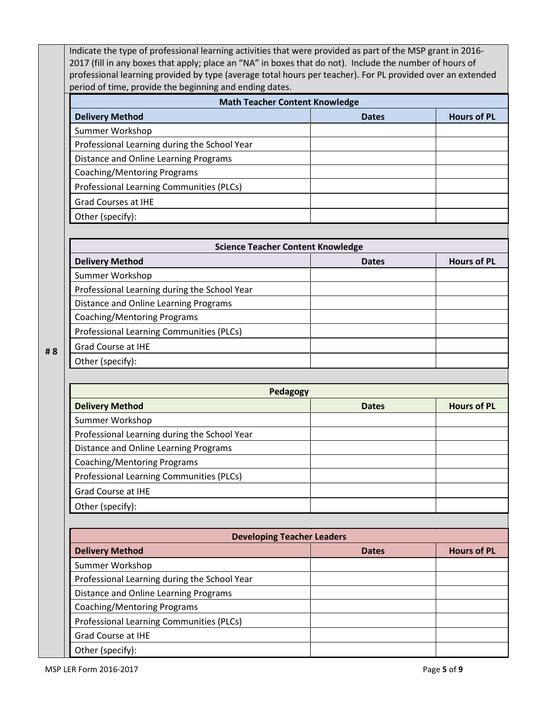Indicate the type of professional learning activities that were provided as part of the MSP grant in 2016- 2017 (fill in any boxes that apply; place an "NA" in boxes that do not). Include the number of hours of professional learning provided by type (average total hours per teacher). For PL provided over an extended period of time, provide the beginning and ending dates.

| <b>Math Teacher Content Knowledge</b>                        |  |  |  |  |  |  |
|--------------------------------------------------------------|--|--|--|--|--|--|
| <b>Delivery Method</b><br><b>Hours of PL</b><br><b>Dates</b> |  |  |  |  |  |  |
| Summer Workshop                                              |  |  |  |  |  |  |
| Professional Learning during the School Year                 |  |  |  |  |  |  |
| Distance and Online Learning Programs                        |  |  |  |  |  |  |
| <b>Coaching/Mentoring Programs</b>                           |  |  |  |  |  |  |
| Professional Learning Communities (PLCs)                     |  |  |  |  |  |  |
| <b>Grad Courses at IHE</b>                                   |  |  |  |  |  |  |
| Other (specify):                                             |  |  |  |  |  |  |

| <b>Science Teacher Content Knowledge</b>                     |  |  |  |  |  |  |
|--------------------------------------------------------------|--|--|--|--|--|--|
| <b>Hours of PL</b><br><b>Delivery Method</b><br><b>Dates</b> |  |  |  |  |  |  |
| Summer Workshop                                              |  |  |  |  |  |  |
| Professional Learning during the School Year                 |  |  |  |  |  |  |
| Distance and Online Learning Programs                        |  |  |  |  |  |  |
| <b>Coaching/Mentoring Programs</b>                           |  |  |  |  |  |  |
| Professional Learning Communities (PLCs)                     |  |  |  |  |  |  |
| Grad Course at IHE                                           |  |  |  |  |  |  |
| Other (specify):                                             |  |  |  |  |  |  |

**# 8**

| Pedagogy                                     |              |                    |  |  |  |  |
|----------------------------------------------|--------------|--------------------|--|--|--|--|
| <b>Delivery Method</b>                       | <b>Dates</b> | <b>Hours of PL</b> |  |  |  |  |
| Summer Workshop                              |              |                    |  |  |  |  |
| Professional Learning during the School Year |              |                    |  |  |  |  |
| Distance and Online Learning Programs        |              |                    |  |  |  |  |
| <b>Coaching/Mentoring Programs</b>           |              |                    |  |  |  |  |
| Professional Learning Communities (PLCs)     |              |                    |  |  |  |  |
| Grad Course at IHE                           |              |                    |  |  |  |  |
| Other (specify):                             |              |                    |  |  |  |  |

|                                                              | <b>Developing Teacher Leaders</b>            |  |  |  |  |  |  |  |
|--------------------------------------------------------------|----------------------------------------------|--|--|--|--|--|--|--|
| <b>Delivery Method</b><br><b>Hours of PL</b><br><b>Dates</b> |                                              |  |  |  |  |  |  |  |
|                                                              | Summer Workshop                              |  |  |  |  |  |  |  |
|                                                              | Professional Learning during the School Year |  |  |  |  |  |  |  |
|                                                              | Distance and Online Learning Programs        |  |  |  |  |  |  |  |
|                                                              | <b>Coaching/Mentoring Programs</b>           |  |  |  |  |  |  |  |
|                                                              | Professional Learning Communities (PLCs)     |  |  |  |  |  |  |  |
|                                                              | Grad Course at IHE                           |  |  |  |  |  |  |  |
|                                                              | Other (specify):                             |  |  |  |  |  |  |  |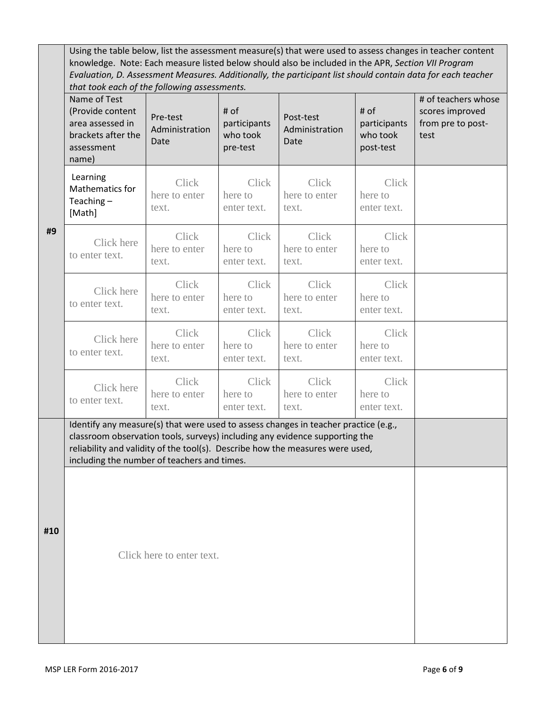Using the table below, list the assessment measure(s) that were used to assess changes in teacher content knowledge. Note: Each measure listed below should also be included in the APR, *Section VII Program Evaluation, D. Assessment Measures. Additionally, the participant list should contain data for each teacher that took each of the following assessments.*

|     | Name of Test<br>(Provide content<br>area assessed in<br>brackets after the<br>assessment<br>name)                                                                                                                                                                                                  | # of<br>Pre-test<br>Post-test<br>participants<br>Administration<br>Administration<br>who took<br>Date<br>Date<br>pre-test |                                        | # of<br>participants<br>who took<br>post-test | # of teachers whose<br>scores improved<br>from pre to post-<br>test |  |
|-----|----------------------------------------------------------------------------------------------------------------------------------------------------------------------------------------------------------------------------------------------------------------------------------------------------|---------------------------------------------------------------------------------------------------------------------------|----------------------------------------|-----------------------------------------------|---------------------------------------------------------------------|--|
| #9  | Learning<br><b>Click</b><br>Mathematics for<br>here to enter<br>Teaching $-$<br>text.<br>[Math]                                                                                                                                                                                                    |                                                                                                                           | <b>Click</b><br>here to<br>enter text. | <b>Click</b><br>here to enter<br>text.        | <b>Click</b><br>here to<br>enter text.                              |  |
|     | Click here<br>to enter text.                                                                                                                                                                                                                                                                       | <b>Click</b><br>here to enter<br>text.                                                                                    | <b>Click</b><br>here to<br>enter text. | Click<br>here to enter<br>text.               | Click<br>here to<br>enter text.                                     |  |
|     | <b>Click</b><br>Click here<br>here to enter<br>to enter text.<br>text.                                                                                                                                                                                                                             |                                                                                                                           | Click<br>here to<br>enter text.        | Click<br>here to enter<br>text.               | Click<br>here to<br>enter text.                                     |  |
|     | <b>Click</b><br>Click here<br>here to enter<br>to enter text.<br>text.                                                                                                                                                                                                                             |                                                                                                                           | <b>Click</b><br>here to<br>enter text. | <b>Click</b><br>here to enter<br>text.        | Click<br>here to<br>enter text.                                     |  |
|     | Click here<br>to enter text.                                                                                                                                                                                                                                                                       | <b>Click</b><br>here to enter<br>text.                                                                                    | Click<br>here to<br>enter text.        | Click<br>here to enter<br>text.               | Click<br>here to<br>enter text.                                     |  |
|     | Identify any measure(s) that were used to assess changes in teacher practice (e.g.,<br>classroom observation tools, surveys) including any evidence supporting the<br>reliability and validity of the tool(s). Describe how the measures were used,<br>including the number of teachers and times. |                                                                                                                           |                                        |                                               |                                                                     |  |
| #10 |                                                                                                                                                                                                                                                                                                    | Click here to enter text.                                                                                                 |                                        |                                               |                                                                     |  |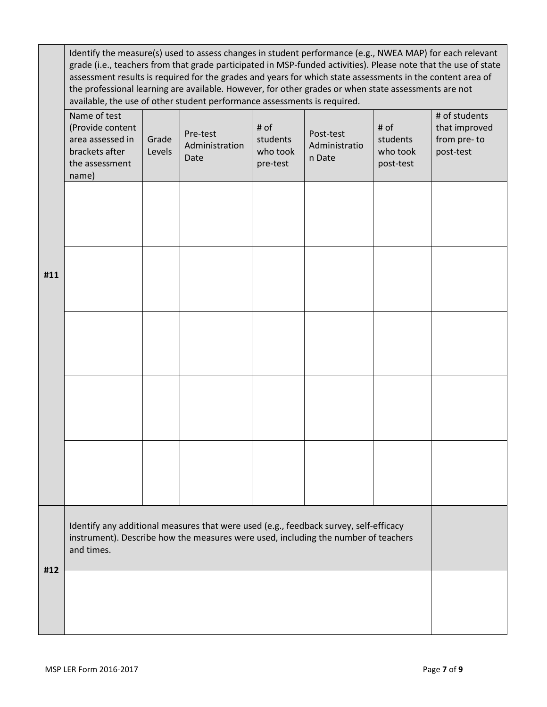| Identify the measure(s) used to assess changes in student performance (e.g., NWEA MAP) for each relevant        |
|-----------------------------------------------------------------------------------------------------------------|
| grade (i.e., teachers from that grade participated in MSP-funded activities). Please note that the use of state |
| assessment results is required for the grades and years for which state assessments in the content area of      |
| the professional learning are available. However, for other grades or when state assessments are not            |
| available, the use of other student performance assessments is required.                                        |

|     | Name of test<br>(Provide content<br>area assessed in<br>brackets after<br>the assessment<br>name)                                                                                         | Grade<br>Levels | Pre-test<br>Administration<br>Date | # of<br>students<br>who took<br>pre-test | Post-test<br>Administratio<br>n Date | # of<br>students<br>who took<br>post-test | # of students<br>that improved<br>from pre-to<br>post-test |
|-----|-------------------------------------------------------------------------------------------------------------------------------------------------------------------------------------------|-----------------|------------------------------------|------------------------------------------|--------------------------------------|-------------------------------------------|------------------------------------------------------------|
|     |                                                                                                                                                                                           |                 |                                    |                                          |                                      |                                           |                                                            |
| #11 |                                                                                                                                                                                           |                 |                                    |                                          |                                      |                                           |                                                            |
|     |                                                                                                                                                                                           |                 |                                    |                                          |                                      |                                           |                                                            |
|     |                                                                                                                                                                                           |                 |                                    |                                          |                                      |                                           |                                                            |
|     |                                                                                                                                                                                           |                 |                                    |                                          |                                      |                                           |                                                            |
|     | Identify any additional measures that were used (e.g., feedback survey, self-efficacy<br>instrument). Describe how the measures were used, including the number of teachers<br>and times. |                 |                                    |                                          |                                      |                                           |                                                            |
| #12 |                                                                                                                                                                                           |                 |                                    |                                          |                                      |                                           |                                                            |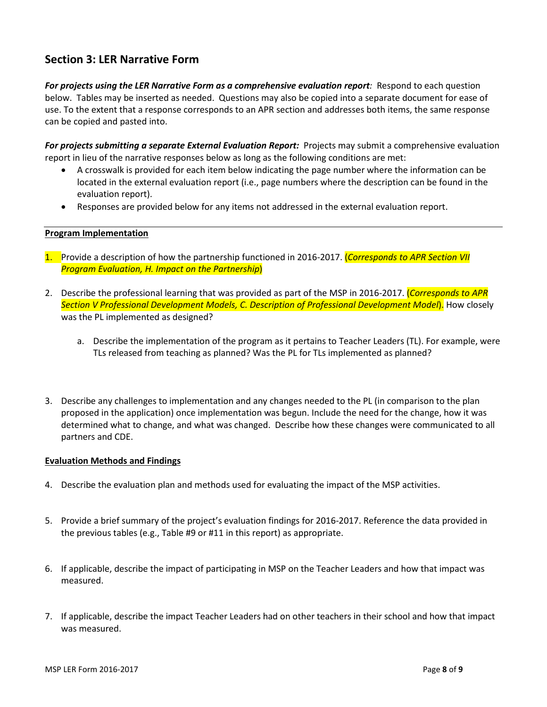## **Section 3: LER Narrative Form**

*For projects using the LER Narrative Form as a comprehensive evaluation report:* Respond to each question below. Tables may be inserted as needed. Questions may also be copied into a separate document for ease of use. To the extent that a response corresponds to an APR section and addresses both items, the same response can be copied and pasted into.

*For projects submitting a separate External Evaluation Report:* Projects may submit a comprehensive evaluation report in lieu of the narrative responses below as long as the following conditions are met:

- A crosswalk is provided for each item below indicating the page number where the information can be located in the external evaluation report (i.e., page numbers where the description can be found in the evaluation report).
- Responses are provided below for any items not addressed in the external evaluation report.

### **Program Implementation**

- 1. Provide a description of how the partnership functioned in 2016-2017. (*Corresponds to APR Section VII Program Evaluation, H. Impact on the Partnership*)
- 2. Describe the professional learning that was provided as part of the MSP in 2016-2017. (*Corresponds to APR Section V Professional Development Models, C. Description of Professional Development Model*). How closely was the PL implemented as designed?
	- a. Describe the implementation of the program as it pertains to Teacher Leaders (TL). For example, were TLs released from teaching as planned? Was the PL for TLs implemented as planned?
- 3. Describe any challenges to implementation and any changes needed to the PL (in comparison to the plan proposed in the application) once implementation was begun. Include the need for the change, how it was determined what to change, and what was changed. Describe how these changes were communicated to all partners and CDE.

#### **Evaluation Methods and Findings**

- 4. Describe the evaluation plan and methods used for evaluating the impact of the MSP activities.
- 5. Provide a brief summary of the project's evaluation findings for 2016-2017. Reference the data provided in the previous tables (e.g., Table #9 or #11 in this report) as appropriate.
- 6. If applicable, describe the impact of participating in MSP on the Teacher Leaders and how that impact was measured.
- 7. If applicable, describe the impact Teacher Leaders had on other teachers in their school and how that impact was measured.